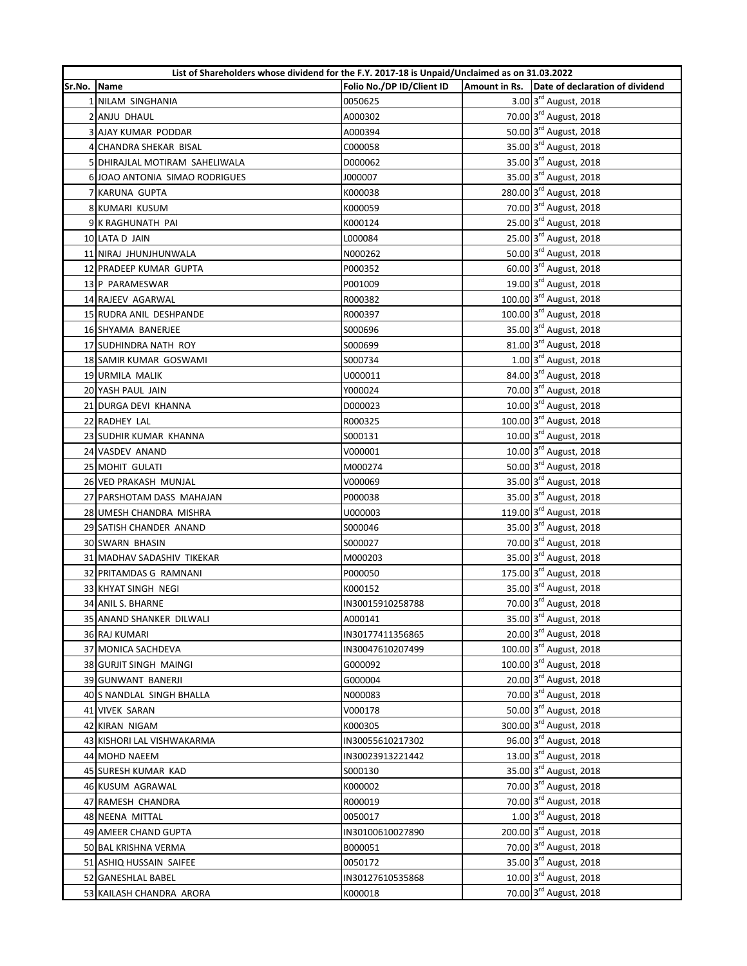|        | List of Shareholders whose dividend for the F.Y. 2017-18 is Unpaid/Unclaimed as on 31.03.2022 |                           |                                                  |
|--------|-----------------------------------------------------------------------------------------------|---------------------------|--------------------------------------------------|
| Sr.No. | Name                                                                                          | Folio No./DP ID/Client ID | Amount in Rs. Date of declaration of dividend    |
|        | 1 NILAM SINGHANIA                                                                             | 0050625                   | 3.00 3rd August, 2018                            |
|        | 2 ANJU DHAUL                                                                                  | A000302                   | 70.00 3rd August, 2018                           |
|        | <b>3 AJAY KUMAR PODDAR</b>                                                                    | A000394                   | 50.00 3rd August, 2018                           |
|        | 4 CHANDRA SHEKAR BISAL                                                                        | C000058                   | 35.00 3rd August, 2018                           |
|        | 5 DHIRAJLAL MOTIRAM SAHELIWALA                                                                | D000062                   | 35.00 3 <sup>rd</sup> August, 2018               |
|        | 6 JOAO ANTONIA SIMAO RODRIGUES                                                                | J000007                   | 35.00 3rd August, 2018                           |
|        | 7 KARUNA GUPTA                                                                                | K000038                   | 280.00 3rd August, 2018                          |
|        | 8 KUMARI KUSUM                                                                                | K000059                   | 70.00 3rd August, 2018                           |
|        | 9 K RAGHUNATH PAI                                                                             | K000124                   | 25.00 3rd August, 2018                           |
|        | 10 LATA D JAIN                                                                                | L000084                   | 25.00 3rd August, 2018                           |
|        | 11 NIRAJ JHUNJHUNWALA                                                                         | N000262                   | 50.00 3rd August, 2018                           |
|        | 12 PRADEEP KUMAR GUPTA                                                                        | P000352                   | 60.00 3rd August, 2018                           |
|        | 13 P PARAMESWAR                                                                               | P001009                   | 19.00 3rd August, 2018                           |
|        | 14 RAJEEV AGARWAL                                                                             | R000382                   | 100.00 3rd August, 2018                          |
|        | 15 RUDRA ANIL DESHPANDE                                                                       | R000397                   | 100.00 3rd August, 2018                          |
|        | 16 SHYAMA BANERJEE                                                                            | S000696                   | 35.00 3 <sup>rd</sup> August, 2018               |
|        | 17 SUDHINDRA NATH ROY                                                                         | S000699                   | 81.00 3rd August, 2018                           |
|        | <b>18 SAMIR KUMAR GOSWAMI</b>                                                                 | S000734                   | 1.00 3rd August, 2018                            |
|        | 19 URMILA MALIK                                                                               | U000011                   | 84.00 3rd August, 2018                           |
|        | 20 YASH PAUL JAIN                                                                             | Y000024                   | 70.00 3rd August, 2018                           |
|        | 21 DURGA DEVI KHANNA                                                                          | D000023                   | 10.00 3rd August, 2018                           |
|        | 22 RADHEY LAL                                                                                 | R000325                   | 100.00 3rd August, 2018                          |
|        | 23 SUDHIR KUMAR KHANNA                                                                        | S000131                   | 10.00 3rd August, 2018                           |
|        | 24 VASDEV ANAND                                                                               | V000001                   | 10.00 3rd August, 2018                           |
|        | 25 MOHIT GULATI                                                                               | M000274                   | 50.00 3rd August, 2018                           |
|        | 26 VED PRAKASH MUNJAL                                                                         | V000069                   | 35.00 3rd August, 2018                           |
|        | 27 PARSHOTAM DASS MAHAJAN                                                                     | P000038                   | 35.00 3rd August, 2018                           |
|        | 28 UMESH CHANDRA MISHRA                                                                       | U000003                   | 119.00 3rd August, 2018                          |
|        | 29 SATISH CHANDER ANAND                                                                       | S000046                   | 35.00 3 <sup>rd</sup> August, 2018               |
|        | 30 SWARN BHASIN                                                                               | S000027                   | 70.00 3 <sup>rd</sup> August, 2018               |
|        | 31 MADHAV SADASHIV TIKEKAR                                                                    | M000203                   | 35.00 3rd August, 2018                           |
|        | 32 PRITAMDAS G RAMNANI                                                                        | P000050                   | 175.00 3rd August, 2018                          |
|        | 33 KHYAT SINGH NEGI                                                                           | K000152                   | 35.00 3rd August, 2018                           |
|        | 34 ANIL S. BHARNE                                                                             | IN30015910258788          | 70.00 3rd August, 2018                           |
|        | 35 ANAND SHANKER DILWALI                                                                      | A000141                   | 35.00 3rd August, 2018                           |
|        | <b>36 RAJ KUMARI</b>                                                                          | IN30177411356865          | 20.00 3rd August, 2018                           |
|        | 37 MONICA SACHDEVA                                                                            | IN30047610207499          | 100.00 3rd August, 2018                          |
|        | 38 GURJIT SINGH MAINGI                                                                        | G000092                   | 100.00 3rd August, 2018                          |
|        | 39 GUNWANT BANERJI                                                                            | G000004                   | 20.00 3rd August, 2018                           |
|        | 40 S NANDLAL SINGH BHALLA                                                                     | N000083                   | 70.00 3rd August, 2018                           |
|        |                                                                                               |                           | 50.00 3rd August, 2018                           |
|        | 41 VIVEK SARAN                                                                                | V000178                   | 300.00 3rd August, 2018                          |
|        | 42 KIRAN NIGAM                                                                                | K000305                   | 96.00 3rd August, 2018                           |
|        | 43 KISHORI LAL VISHWAKARMA                                                                    | IN30055610217302          | 13.00 3rd August, 2018                           |
|        | 44 MOHD NAEEM                                                                                 | IN30023913221442          |                                                  |
|        | 45 SURESH KUMAR KAD                                                                           | S000130                   | 35.00 3rd August, 2018                           |
|        | 46 KUSUM AGRAWAL                                                                              | K000002                   | 70.00 3rd August, 2018<br>70.00 3rd August, 2018 |
|        | 47 RAMESH CHANDRA                                                                             | R000019                   | 1.00 3rd August, 2018                            |
|        | 48 NEENA MITTAL                                                                               | 0050017                   |                                                  |
|        | 49 AMEER CHAND GUPTA                                                                          | IN30100610027890          | 200.00 3rd August, 2018                          |
|        | 50 BAL KRISHNA VERMA                                                                          | B000051                   | 70.00 3rd August, 2018                           |
|        | 51 ASHIQ HUSSAIN SAIFEE                                                                       | 0050172                   | 35.00 3rd August, 2018                           |
|        | 52 GANESHLAL BABEL                                                                            | IN30127610535868          | 10.00 3rd August, 2018                           |
|        | 53 KAILASH CHANDRA ARORA                                                                      | K000018                   | 70.00 3rd August, 2018                           |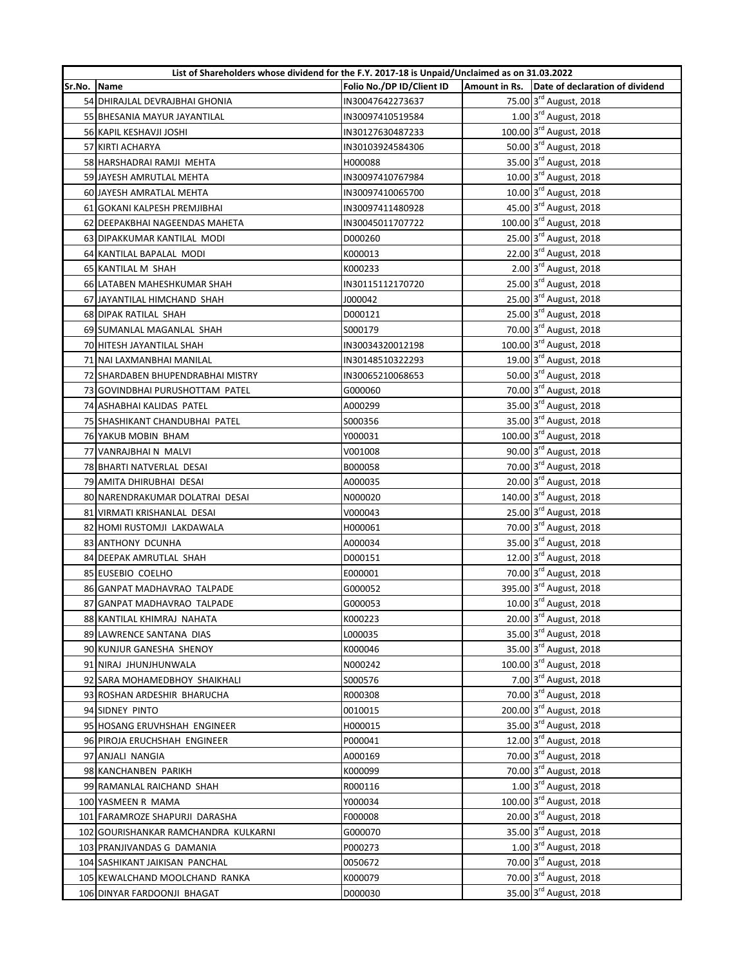|        | List of Shareholders whose dividend for the F.Y. 2017-18 is Unpaid/Unclaimed as on 31.03.2022 |                           |                                               |
|--------|-----------------------------------------------------------------------------------------------|---------------------------|-----------------------------------------------|
| Sr.No. | Name                                                                                          | Folio No./DP ID/Client ID | Amount in Rs. Date of declaration of dividend |
|        | 54 DHIRAJLAL DEVRAJBHAI GHONIA                                                                | IN30047642273637          | 75.00 3rd August, 2018                        |
|        | 55 BHESANIA MAYUR JAYANTILAL                                                                  | IN30097410519584          | 1.00 3rd August, 2018                         |
|        | 56 KAPIL KESHAVJI JOSHI                                                                       | IN30127630487233          | 100.00 3rd August, 2018                       |
|        | 57 KIRTI ACHARYA                                                                              | IN30103924584306          | 50.00 3rd August, 2018                        |
|        | 58 HARSHADRAI RAMJI MEHTA                                                                     | H000088                   | 35.00 3 <sup>rd</sup> August, 2018            |
|        | 59 JAYESH AMRUTLAL MEHTA                                                                      | IN30097410767984          | 10.00 3rd August, 2018                        |
|        | 60 JAYESH AMRATLAL MEHTA                                                                      | IN30097410065700          | 10.00 3rd August, 2018                        |
|        | 61 GOKANI KALPESH PREMJIBHAI                                                                  | IN30097411480928          | 45.00 3rd August, 2018                        |
|        | 62 DEEPAKBHAI NAGEENDAS MAHETA                                                                | IN30045011707722          | 100.00 3rd August, 2018                       |
|        | 63 DIPAKKUMAR KANTILAL MODI                                                                   | D000260                   | 25.00 3rd August, 2018                        |
|        | 64 KANTILAL BAPALAL MODI                                                                      | K000013                   | 22.00 3rd August, 2018                        |
|        | 65 KANTILAL M SHAH                                                                            | K000233                   | 2.00 3rd August, 2018                         |
|        | 66 LATABEN MAHESHKUMAR SHAH                                                                   | IN30115112170720          | 25.00 3rd August, 2018                        |
|        | 67 JAYANTILAL HIMCHAND SHAH                                                                   | J000042                   | 25.00 3rd August, 2018                        |
|        | 68 DIPAK RATILAL SHAH                                                                         | D000121                   | 25.00 3 <sup>rd</sup> August, 2018            |
|        | 69 SUMANLAL MAGANLAL SHAH                                                                     | S000179                   | 70.00 3rd August, 2018                        |
|        | 70 HITESH JAYANTILAL SHAH                                                                     | IN30034320012198          | 100.00 3rd August, 2018                       |
|        | 71 NAI LAXMANBHAI MANILAL                                                                     | IN30148510322293          | 19.00 3rd August, 2018                        |
|        | 72 SHARDABEN BHUPENDRABHAI MISTRY                                                             | IN30065210068653          | 50.00 3rd August, 2018                        |
|        | 73 GOVINDBHAI PURUSHOTTAM PATEL                                                               | G000060                   | 70.00 3rd August, 2018                        |
|        | 74 ASHABHAI KALIDAS PATEL                                                                     | A000299                   | 35.00 3rd August, 2018                        |
|        | 75 SHASHIKANT CHANDUBHAI PATEL                                                                | S000356                   | 35.00 3rd August, 2018                        |
|        | 76 YAKUB MOBIN BHAM                                                                           | Y000031                   | 100.00 3rd August, 2018                       |
|        | 77 VANRAJBHAI N MALVI                                                                         | V001008                   | 90.00 3rd August, 2018                        |
|        | 78 BHARTI NATVERLAL DESAI                                                                     | B000058                   | 70.00 3rd August, 2018                        |
|        | 79 AMITA DHIRUBHAI DESAI                                                                      | A000035                   | 20.00 3rd August, 2018                        |
|        | 80 NARENDRAKUMAR DOLATRAI DESAI                                                               | N000020                   | 140.00 3rd August, 2018                       |
|        | 81 VIRMATI KRISHANLAL DESAI                                                                   | V000043                   | 25.00 3rd August, 2018                        |
|        | 82 HOMI RUSTOMJI LAKDAWALA                                                                    | H000061                   | 70.00 3rd August, 2018                        |
|        | 83 ANTHONY DCUNHA                                                                             | A000034                   | 35.00 3 <sup>rd</sup> August, 2018            |
|        | 84 DEEPAK AMRUTLAL SHAH                                                                       | D000151                   | 12.00 3rd August, 2018                        |
|        | 85 EUSEBIO COELHO                                                                             | E000001                   | 70.00 3rd August, 2018                        |
|        | 86 GANPAT MADHAVRAO TALPADE                                                                   | G000052                   | 395.00 3rd August, 2018                       |
|        | 87 GANPAT MADHAVRAO TALPADE                                                                   | G000053                   | 10.00 3rd August, 2018                        |
|        | 88 KANTILAL KHIMRAJ NAHATA                                                                    | K000223                   | 20.00 3rd August, 2018                        |
|        | 89 LAWRENCE SANTANA DIAS                                                                      | L000035                   | 35.00 3rd August, 2018                        |
|        | 90 KUNJUR GANESHA SHENOY                                                                      | K000046                   | 35.00 3rd August, 2018                        |
|        | 91 NIRAJ JHUNJHUNWALA                                                                         | N000242                   | 100.00 3rd August, 2018                       |
|        | 92 SARA MOHAMEDBHOY SHAIKHALI                                                                 | S000576                   | 7.00 3rd August, 2018                         |
|        | 93 ROSHAN ARDESHIR BHARUCHA                                                                   | R000308                   | 70.00 3rd August, 2018                        |
|        | 94 SIDNEY PINTO                                                                               | 0010015                   | 200.00 3rd August, 2018                       |
|        | 95 HOSANG ERUVHSHAH ENGINEER                                                                  | H000015                   | 35.00 3rd August, 2018                        |
|        | 96 PIROJA ERUCHSHAH ENGINEER                                                                  | P000041                   | 12.00 3rd August, 2018                        |
|        | 97 ANJALI NANGIA                                                                              | A000169                   | 70.00 3rd August, 2018                        |
|        |                                                                                               |                           | 70.00 3rd August, 2018                        |
|        | 98 KANCHANBEN PARIKH<br>99 RAMANLAL RAICHAND SHAH                                             | K000099<br>R000116        | 1.00 3rd August, 2018                         |
|        | 100 YASMEEN R MAMA                                                                            | Y000034                   | 100.00 3rd August, 2018                       |
|        |                                                                                               |                           | 20.00 3rd August, 2018                        |
|        | 101 FARAMROZE SHAPURJI DARASHA                                                                | F000008                   | 35.00 3rd August, 2018                        |
|        | 102 GOURISHANKAR RAMCHANDRA KULKARNI                                                          | G000070                   | 1.00 3rd August, 2018                         |
|        | 103 PRANJIVANDAS G DAMANIA                                                                    | P000273                   | 70.00 3rd August, 2018                        |
|        | 104 SASHIKANT JAIKISAN PANCHAL                                                                | 0050672                   | 70.00 3rd August, 2018                        |
|        | 105 KEWALCHAND MOOLCHAND RANKA                                                                | K000079                   | 35.00 3rd August, 2018                        |
|        | 106 DINYAR FARDOONJI BHAGAT                                                                   | D000030                   |                                               |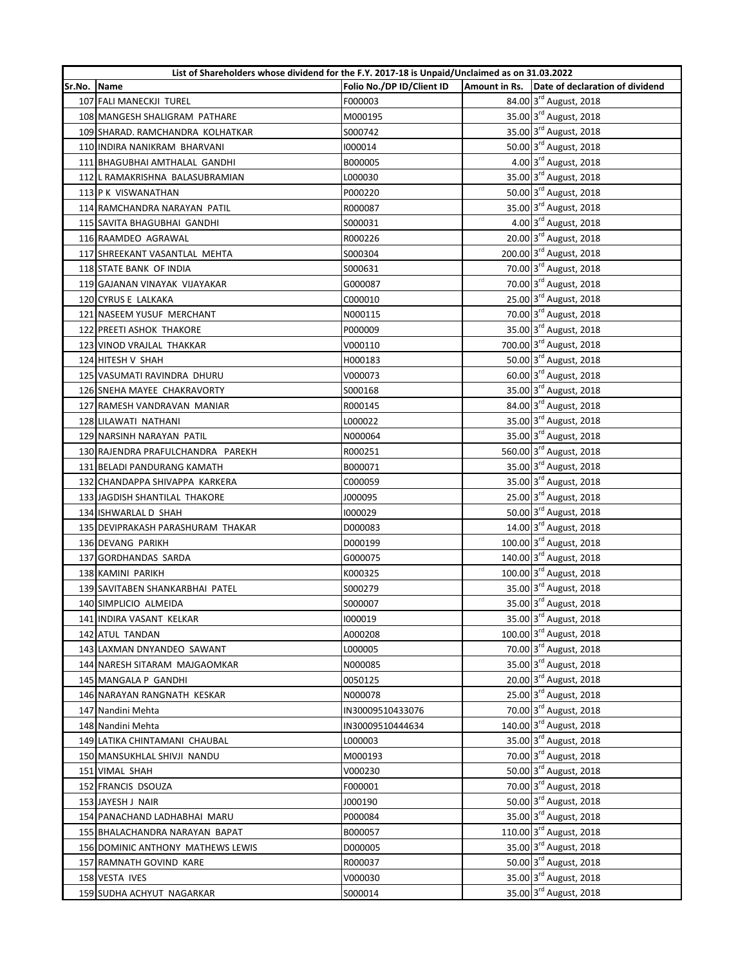|        | List of Shareholders whose dividend for the F.Y. 2017-18 is Unpaid/Unclaimed as on 31.03.2022 |                           |                                               |
|--------|-----------------------------------------------------------------------------------------------|---------------------------|-----------------------------------------------|
| Sr.No. | <b>Name</b>                                                                                   | Folio No./DP ID/Client ID | Amount in Rs. Date of declaration of dividend |
|        | 107 FALI MANECKJI TUREL                                                                       | F000003                   | 84.00 3rd August, 2018                        |
|        | 108 MANGESH SHALIGRAM PATHARE                                                                 | M000195                   | 35.00 3rd August, 2018                        |
|        | 109 SHARAD, RAMCHANDRA KOLHATKAR                                                              | S000742                   | 35.00 3rd August, 2018                        |
|        | 110 INDIRA NANIKRAM BHARVANI                                                                  | 1000014                   | 50.00 3rd August, 2018                        |
|        | 111 BHAGUBHAI AMTHALAL GANDHI                                                                 | B000005                   | 4.00 3rd August, 2018                         |
|        | 112 L RAMAKRISHNA BALASUBRAMIAN                                                               | L000030                   | 35.00 3rd August, 2018                        |
|        | 113 P K VISWANATHAN                                                                           | P000220                   | 50.00 3rd August, 2018                        |
|        | 114 RAMCHANDRA NARAYAN PATIL                                                                  | R000087                   | 35.00 3rd August, 2018                        |
|        | 115 SAVITA BHAGUBHAI GANDHI                                                                   | S000031                   | 4.00 3rd August, 2018                         |
|        | 116 RAAMDEO AGRAWAL                                                                           | R000226                   | 20.00 3rd August, 2018                        |
|        | 117 SHREEKANT VASANTLAL MEHTA                                                                 | S000304                   | 200.00 3rd August, 2018                       |
|        | 118 STATE BANK OF INDIA                                                                       | S000631                   | 70.00 3rd August, 2018                        |
|        | 119 GAJANAN VINAYAK VIJAYAKAR                                                                 | G000087                   | 70.00 3rd August, 2018                        |
|        | 120 CYRUS E LALKAKA                                                                           | C000010                   | 25.00 3rd August, 2018                        |
|        | 121 NASEEM YUSUF MERCHANT                                                                     | N000115                   | 70.00 3rd August, 2018                        |
|        | 122 PREETI ASHOK THAKORE                                                                      | P000009                   | 35.00 3rd August, 2018                        |
|        | 123 VINOD VRAJLAL THAKKAR                                                                     | V000110                   | 700.00 3rd August, 2018                       |
|        | 124 HITESH V SHAH                                                                             | H000183                   | 50.00 3rd August, 2018                        |
|        | 125 VASUMATI RAVINDRA DHURU                                                                   | V000073                   | 60.00 3rd August, 2018                        |
|        | 126 SNEHA MAYEE CHAKRAVORTY                                                                   | S000168                   | 35.00 3rd August, 2018                        |
|        | 127 RAMESH VANDRAVAN MANIAR                                                                   | R000145                   | 84.00 3rd August, 2018                        |
|        | 128 LILAWATI NATHANI                                                                          | L000022                   | 35.00 3rd August, 2018                        |
|        | 129 NARSINH NARAYAN PATIL                                                                     | N000064                   | 35.00 3rd August, 2018                        |
|        | 130 RAJENDRA PRAFULCHANDRA PAREKH                                                             | R000251                   | 560.00 3rd August, 2018                       |
|        | 131 BELADI PANDURANG KAMATH                                                                   | B000071                   | 35.00 3rd August, 2018                        |
|        | 132 CHANDAPPA SHIVAPPA KARKERA                                                                | C000059                   | 35.00 3rd August, 2018                        |
|        | 133 JAGDISH SHANTILAL THAKORE                                                                 | J000095                   | 25.00 3rd August, 2018                        |
|        | 134 ISHWARLAL D SHAH                                                                          | 1000029                   | 50.00 3 <sup>rd</sup> August, 2018            |
|        | 135 DEVIPRAKASH PARASHURAM THAKAR                                                             | D000083                   | 14.00 3rd August, 2018                        |
|        | 136 DEVANG PARIKH                                                                             | D000199                   | 100.00 3rd August, 2018                       |
|        | 137 GORDHANDAS SARDA                                                                          | G000075                   | 140.00 3rd August, 2018                       |
|        | 138 KAMINI PARIKH                                                                             | K000325                   | 100.00 3rd August, 2018                       |
|        | 139 SAVITABEN SHANKARBHAI PATEL                                                               | S000279                   | 35.00 3rd August, 2018                        |
|        | 140 SIMPLICIO ALMEIDA                                                                         | S000007                   | 35.00 3rd August, 2018                        |
|        | 141 INDIRA VASANT KELKAR                                                                      | 1000019                   | 35.00 3rd August, 2018                        |
|        | 142 ATUL TANDAN                                                                               | A000208                   | 100.00 3rd August, 2018                       |
|        | 143 LAXMAN DNYANDEO SAWANT                                                                    | L000005                   | 70.00 3rd August, 2018                        |
|        | 144 NARESH SITARAM MAJGAOMKAR                                                                 | N000085                   | 35.00 3rd August, 2018                        |
|        | 145 MANGALA P GANDHI                                                                          | 0050125                   | 20.00 3rd August, 2018                        |
|        | 146 NARAYAN RANGNATH KESKAR                                                                   | N000078                   | 25.00 3rd August, 2018                        |
|        | 147 Nandini Mehta                                                                             | IN30009510433076          | 70.00 3rd August, 2018                        |
|        | 148 Nandini Mehta                                                                             | IN30009510444634          | 140.00 3rd August, 2018                       |
|        | 149 LATIKA CHINTAMANI CHAUBAL                                                                 |                           | 35.00 3rd August, 2018                        |
|        |                                                                                               | L000003                   | 70.00 3rd August, 2018                        |
|        | 150 MANSUKHLAL SHIVJI NANDU                                                                   | M000193                   | 50.00 3rd August, 2018                        |
|        | 151 VIMAL SHAH                                                                                | V000230                   | 70.00 3rd August, 2018                        |
|        | 152 FRANCIS DSOUZA                                                                            | F000001                   | 50.00 3rd August, 2018                        |
|        | 153 JAYESH J NAIR                                                                             | J000190                   |                                               |
|        | 154 PANACHAND LADHABHAI MARU                                                                  | P000084                   | 35.00 3rd August, 2018                        |
|        | 155 BHALACHANDRA NARAYAN BAPAT                                                                | B000057                   | 110.00 3rd August, 2018                       |
|        | 156 DOMINIC ANTHONY MATHEWS LEWIS                                                             | D000005                   | 35.00 3rd August, 2018                        |
|        | 157 RAMNATH GOVIND KARE                                                                       | R000037                   | 50.00 3rd August, 2018                        |
|        | 158 VESTA IVES                                                                                | V000030                   | 35.00 3rd August, 2018                        |
|        | 159 SUDHA ACHYUT NAGARKAR                                                                     | S000014                   | 35.00 3rd August, 2018                        |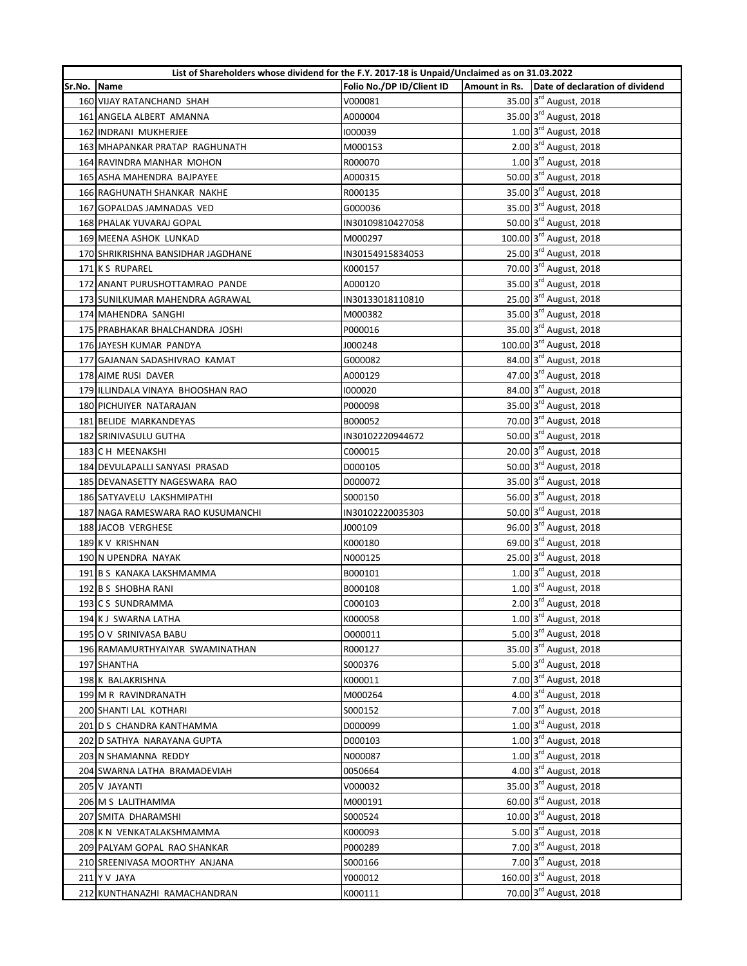|        | List of Shareholders whose dividend for the F.Y. 2017-18 is Unpaid/Unclaimed as on 31.03.2022 |                           |                                               |
|--------|-----------------------------------------------------------------------------------------------|---------------------------|-----------------------------------------------|
| Sr.No. | <b>Name</b>                                                                                   | Folio No./DP ID/Client ID | Amount in Rs. Date of declaration of dividend |
|        | 160 VIJAY RATANCHAND SHAH                                                                     | V000081                   | 35.00 3rd August, 2018                        |
|        | 161 ANGELA ALBERT AMANNA                                                                      | A000004                   | 35.00 3rd August, 2018                        |
|        | 162 INDRANI MUKHERJEE                                                                         | 1000039                   | 1.00 3rd August, 2018                         |
|        | 163 MHAPANKAR PRATAP RAGHUNATH                                                                | M000153                   | 2.00 3rd August, 2018                         |
|        | 164 RAVINDRA MANHAR MOHON                                                                     | R000070                   | 1.00 3rd August, 2018                         |
|        | 165 ASHA MAHENDRA BAJPAYEE                                                                    | A000315                   | 50.00 3rd August, 2018                        |
|        | 166 RAGHUNATH SHANKAR NAKHE                                                                   | R000135                   | 35.00 3rd August, 2018                        |
|        | 167 GOPALDAS JAMNADAS VED                                                                     | G000036                   | 35.00 3rd August, 2018                        |
|        | 168 PHALAK YUVARAJ GOPAL                                                                      | IN30109810427058          | 50.00 3rd August, 2018                        |
|        | 169 MEENA ASHOK LUNKAD                                                                        | M000297                   | 100.00 3rd August, 2018                       |
|        | 170 SHRIKRISHNA BANSIDHAR JAGDHANE                                                            | IN30154915834053          | 25.00 3rd August, 2018                        |
|        | 171 K S RUPAREL                                                                               | K000157                   | 70.00 3rd August, 2018                        |
|        | 172 ANANT PURUSHOTTAMRAO PANDE                                                                | A000120                   | 35.00 3rd August, 2018                        |
|        | 173 SUNILKUMAR MAHENDRA AGRAWAL                                                               | IN30133018110810          | 25.00 3rd August, 2018                        |
|        | 174 MAHENDRA SANGHI                                                                           | M000382                   | 35.00 3 <sup>rd</sup> August, 2018            |
|        | 175 PRABHAKAR BHALCHANDRA JOSHI                                                               | P000016                   | 35.00 3rd August, 2018                        |
|        | 176 JAYESH KUMAR PANDYA                                                                       | J000248                   | 100.00 3rd August, 2018                       |
|        | 177 GAJANAN SADASHIVRAO KAMAT                                                                 | G000082                   | 84.00 3rd August, 2018                        |
|        | 178 AIME RUSI DAVER                                                                           | A000129                   | 47.00 3rd August, 2018                        |
|        | 179 ILLINDALA VINAYA BHOOSHAN RAO                                                             | 1000020                   | 84.00 3rd August, 2018                        |
|        | 180 PICHUIYER NATARAJAN                                                                       | P000098                   | 35.00 3rd August, 2018                        |
|        | 181 BELIDE MARKANDEYAS                                                                        | B000052                   | 70.00 3rd August, 2018                        |
|        | 182 SRINIVASULU GUTHA                                                                         | IN30102220944672          | 50.00 3rd August, 2018                        |
|        | 183 C H MEENAKSHI                                                                             | C000015                   | 20.00 3rd August, 2018                        |
|        | 184 DEVULAPALLI SANYASI PRASAD                                                                | D000105                   | 50.00 3rd August, 2018                        |
|        | 185 DEVANASETTY NAGESWARA RAO                                                                 | D000072                   | 35.00 3rd August, 2018                        |
|        | 186 SATYAVELU LAKSHMIPATHI                                                                    | S000150                   | 56.00 3rd August, 2018                        |
|        | 187 NAGA RAMESWARA RAO KUSUMANCHI                                                             | IN30102220035303          | 50.00 3 <sup>rd</sup> August, 2018            |
|        | 188 JACOB VERGHESE                                                                            | J000109                   | 96.00 3 <sup>rd</sup> August, 2018            |
|        | 189 K V KRISHNAN                                                                              | K000180                   | 69.00 3 <sup>rd</sup> August, 2018            |
|        | 190 N UPENDRA NAYAK                                                                           | N000125                   | 25.00 3rd August, 2018                        |
|        | 191 B S KANAKA LAKSHMAMMA                                                                     | B000101                   | 1.00 3rd August, 2018                         |
|        | 192 B S SHOBHA RANI                                                                           | B000108                   | 1.00 3rd August, 2018                         |
|        | 193 C S SUNDRAMMA                                                                             | C000103                   | 2.00 3rd August, 2018                         |
|        | 194 K J SWARNA LATHA                                                                          | K000058                   | 1.00 3rd August, 2018                         |
|        | 195 O V SRINIVASA BABU                                                                        | 0000011                   | 5.00 3rd August, 2018                         |
|        | 196 RAMAMURTHYAIYAR SWAMINATHAN                                                               | R000127                   | 35.00 3rd August, 2018                        |
|        | 197 SHANTHA                                                                                   | S000376                   | 5.00 3rd August, 2018                         |
|        | 198 K BALAKRISHNA                                                                             | K000011                   | 7.00 3rd August, 2018                         |
|        | 199 M R RAVINDRANATH                                                                          | M000264                   | 4.00 3rd August, 2018                         |
|        | 200 SHANTI LAL KOTHARI                                                                        | S000152                   | 7.00 3rd August, 2018                         |
|        | 201 D S CHANDRA KANTHAMMA                                                                     | D000099                   | 1.00 3rd August, 2018                         |
|        | 202 D SATHYA NARAYANA GUPTA                                                                   | D000103                   | 1.00 3rd August, 2018                         |
|        | 203 N SHAMANNA REDDY                                                                          | N000087                   | 1.00 3rd August, 2018                         |
|        |                                                                                               |                           | 4.00 3rd August, 2018                         |
|        | 204 SWARNA LATHA BRAMADEVIAH<br>205 V JAYANTI                                                 | 0050664<br>V000032        | 35.00 3rd August, 2018                        |
|        | 206 M S LALITHAMMA                                                                            |                           | 60.00 3rd August, 2018                        |
|        |                                                                                               | M000191                   | 10.00 3rd August, 2018                        |
|        | 207 SMITA DHARAMSHI                                                                           | S000524                   | 5.00 3rd August, 2018                         |
|        | 208 K N VENKATALAKSHMAMMA                                                                     | K000093                   | 7.00 3rd August, 2018                         |
|        | 209 PALYAM GOPAL RAO SHANKAR                                                                  | P000289                   | 7.00 3rd August, 2018                         |
|        | 210 SREENIVASA MOORTHY ANJANA                                                                 | S000166                   | 160.00 3rd August, 2018                       |
|        | 211 Y V JAYA                                                                                  | Y000012                   |                                               |
|        | 212 KUNTHANAZHI RAMACHANDRAN                                                                  | K000111                   | 70.00 3rd August, 2018                        |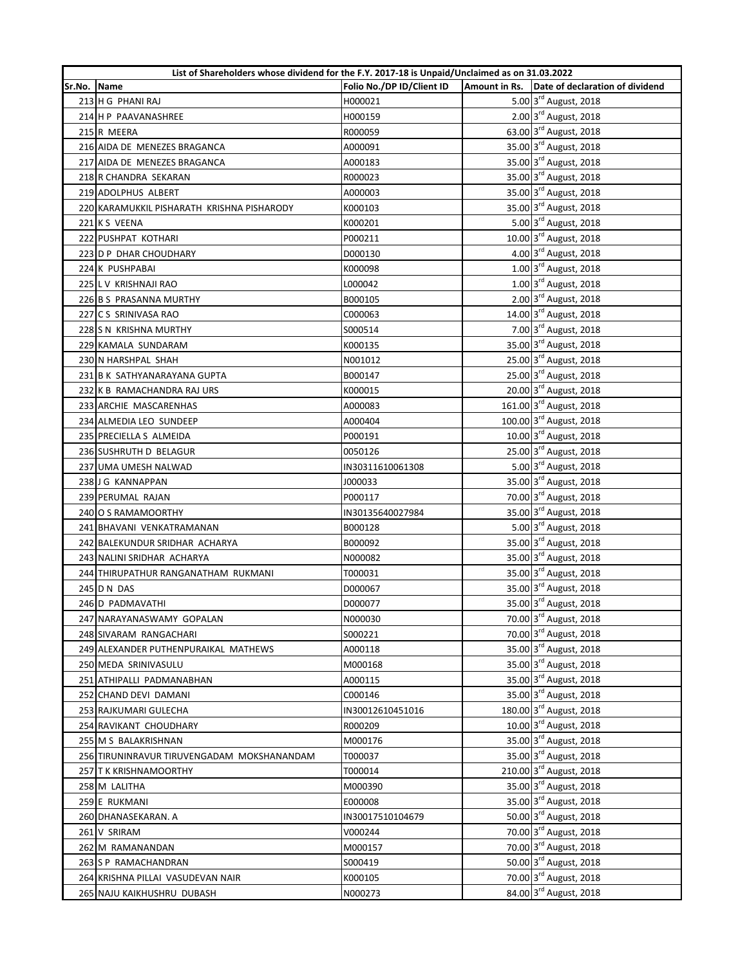|        | List of Shareholders whose dividend for the F.Y. 2017-18 is Unpaid/Unclaimed as on 31.03.2022 |                           |  |                                                  |
|--------|-----------------------------------------------------------------------------------------------|---------------------------|--|--------------------------------------------------|
| Sr.No. | <b>Name</b>                                                                                   | Folio No./DP ID/Client ID |  | Amount in Rs. Date of declaration of dividend    |
|        | 213 H G PHANI RAJ                                                                             | H000021                   |  | 5.00 3 <sup>rd</sup> August, 2018                |
|        | 214 H P PAAVANASHREE                                                                          | H000159                   |  | 2.00 3rd August, 2018                            |
|        | 215 R MEERA                                                                                   | R000059                   |  | 63.00 3rd August, 2018                           |
|        | 216 AIDA DE MENEZES BRAGANCA                                                                  | A000091                   |  | 35.00 3rd August, 2018                           |
|        | 217 AIDA DE MENEZES BRAGANCA                                                                  | A000183                   |  | 35.00 3rd August, 2018                           |
|        | 218 R CHANDRA SEKARAN                                                                         | R000023                   |  | 35.00 3rd August, 2018                           |
|        | 219 ADOLPHUS ALBERT                                                                           | A000003                   |  | 35.00 3rd August, 2018                           |
|        | 220 KARAMUKKIL PISHARATH KRISHNA PISHARODY                                                    | K000103                   |  | 35.00 3rd August, 2018                           |
|        | 221 KS VEENA                                                                                  | K000201                   |  | 5.00 3rd August, 2018                            |
|        | 222 PUSHPAT KOTHARI                                                                           | P000211                   |  | 10.00 3rd August, 2018                           |
|        | 223 D P DHAR CHOUDHARY                                                                        | D000130                   |  | 4.00 3rd August, 2018                            |
|        | 224 K PUSHPABAI                                                                               | K000098                   |  | 1.00 3rd August, 2018                            |
|        | 225 L V KRISHNAJI RAO                                                                         | L000042                   |  | 1.00 3rd August, 2018                            |
|        | 226 B S PRASANNA MURTHY                                                                       | B000105                   |  | 2.00 3rd August, 2018                            |
|        | 227 C S SRINIVASA RAO                                                                         | C000063                   |  | 14.00 3rd August, 2018                           |
|        | 228 S N KRISHNA MURTHY                                                                        | S000514                   |  | 7.00 3rd August, 2018                            |
|        | 229 KAMALA SUNDARAM                                                                           | K000135                   |  | 35.00 3rd August, 2018                           |
|        | 230 N HARSHPAL SHAH                                                                           | N001012                   |  | 25.00 3rd August, 2018                           |
|        | 231 B K SATHYANARAYANA GUPTA                                                                  | B000147                   |  | 25.00 3rd August, 2018                           |
|        | 232 K B RAMACHANDRA RAJ URS                                                                   | K000015                   |  | 20.00 3rd August, 2018                           |
|        | 233 ARCHIE MASCARENHAS                                                                        | A000083                   |  | 161.00 3rd August, 2018                          |
|        | 234 ALMEDIA LEO SUNDEEP                                                                       | A000404                   |  | 100.00 3rd August, 2018                          |
|        | 235 PRECIELLA S ALMEIDA                                                                       | P000191                   |  | 10.00 3rd August, 2018                           |
|        | 236 SUSHRUTH D BELAGUR                                                                        | 0050126                   |  | 25.00 3rd August, 2018                           |
|        | 237 UMA UMESH NALWAD                                                                          | IN30311610061308          |  | 5.00 3rd August, 2018                            |
|        | 238 J G KANNAPPAN                                                                             | J000033                   |  | 35.00 3rd August, 2018                           |
|        | 239 PERUMAL RAJAN                                                                             | P000117                   |  | 70.00 3rd August, 2018                           |
|        | 240 O S RAMAMOORTHY                                                                           | IN30135640027984          |  | 35.00 3rd August, 2018                           |
|        | 241 BHAVANI VENKATRAMANAN                                                                     | B000128                   |  | 5.00 3 <sup>rd</sup> August, 2018                |
|        | 242 BALEKUNDUR SRIDHAR ACHARYA                                                                | B000092                   |  | 35.00 3rd August, 2018                           |
|        | 243 NALINI SRIDHAR ACHARYA                                                                    | N000082                   |  | 35.00 3rd August, 2018                           |
|        | 244 THIRUPATHUR RANGANATHAM RUKMANI                                                           | T000031                   |  | 35.00 3rd August, 2018                           |
|        | 245 D N DAS                                                                                   | D000067                   |  | 35.00 3rd August, 2018                           |
|        | 246 D PADMAVATHI                                                                              | D000077                   |  | 35.00 3rd August, 2018                           |
|        | 247 NARAYANASWAMY GOPALAN                                                                     | N000030                   |  | 70.00 3rd August, 2018                           |
|        | 248 SIVARAM RANGACHARI                                                                        | S000221                   |  | 70.00 3rd August, 2018                           |
|        | 249 ALEXANDER PUTHENPURAIKAL MATHEWS                                                          | A000118                   |  | 35.00 3rd August, 2018                           |
|        | 250 MEDA SRINIVASULU                                                                          | M000168                   |  | 35.00 3rd August, 2018                           |
|        | 251 ATHIPALLI PADMANABHAN                                                                     | A000115                   |  | 35.00 3rd August, 2018                           |
|        | 252 CHAND DEVI DAMANI                                                                         | C000146                   |  | 35.00 3rd August, 2018                           |
|        | 253 RAJKUMARI GULECHA                                                                         | IN30012610451016          |  | 180.00 3rd August, 2018                          |
|        | 254 RAVIKANT CHOUDHARY                                                                        | R000209                   |  | 10.00 3rd August, 2018                           |
|        | 255 M S BALAKRISHNAN                                                                          | M000176                   |  | 35.00 3rd August, 2018                           |
|        |                                                                                               |                           |  | 35.00 3rd August, 2018                           |
|        | 256 TIRUNINRAVUR TIRUVENGADAM MOKSHANANDAM                                                    | T000037                   |  | 210.00 3rd August, 2018                          |
|        | 257 T K KRISHNAMOORTHY                                                                        | T000014                   |  | 35.00 3rd August, 2018                           |
|        | 258 M LALITHA                                                                                 | M000390                   |  |                                                  |
|        | 259 E RUKMANI                                                                                 | E000008                   |  | 35.00 3rd August, 2018<br>50.00 3rd August, 2018 |
|        | 260 DHANASEKARAN. A                                                                           | IN30017510104679          |  |                                                  |
|        | 261 V SRIRAM                                                                                  | V000244                   |  | 70.00 3rd August, 2018                           |
|        | 262 M RAMANANDAN                                                                              | M000157                   |  | 70.00 3rd August, 2018                           |
|        | 263 S P RAMACHANDRAN                                                                          | S000419                   |  | 50.00 3rd August, 2018                           |
|        | 264 KRISHNA PILLAI VASUDEVAN NAIR                                                             | K000105                   |  | 70.00 3rd August, 2018                           |
|        | 265 NAJU KAIKHUSHRU DUBASH                                                                    | N000273                   |  | 84.00 3rd August, 2018                           |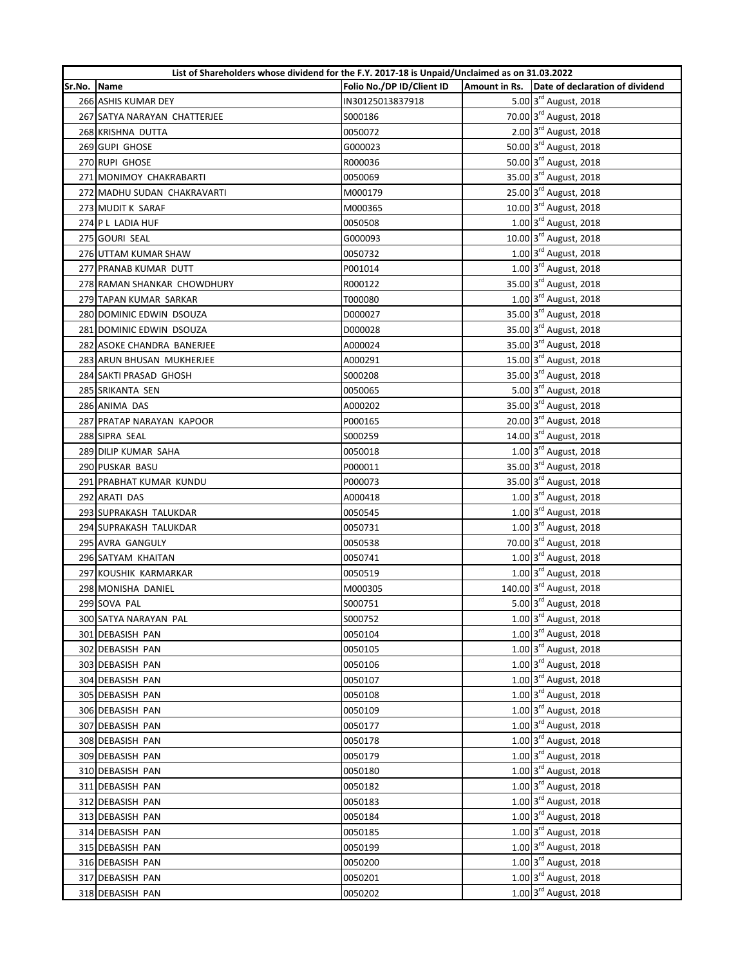|        | List of Shareholders whose dividend for the F.Y. 2017-18 is Unpaid/Unclaimed as on 31.03.2022 |                           |                                               |
|--------|-----------------------------------------------------------------------------------------------|---------------------------|-----------------------------------------------|
| Sr.No. | Name                                                                                          | Folio No./DP ID/Client ID | Amount in Rs. Date of declaration of dividend |
|        | 266 ASHIS KUMAR DEY                                                                           | IN30125013837918          | 5.00 3 <sup>rd</sup> August, 2018             |
|        | 267 SATYA NARAYAN CHATTERJEE                                                                  | S000186                   | 70.00 3rd August, 2018                        |
|        | 268 KRISHNA DUTTA                                                                             | 0050072                   | 2.00 3rd August, 2018                         |
|        | 269 GUPI GHOSE                                                                                | G000023                   | 50.00 3rd August, 2018                        |
|        | 270 RUPI GHOSE                                                                                | R000036                   | 50.00 3rd August, 2018                        |
|        | 271 MONIMOY CHAKRABARTI                                                                       | 0050069                   | 35.00 3rd August, 2018                        |
|        | 272 MADHU SUDAN CHAKRAVARTI                                                                   | M000179                   | 25.00 3rd August, 2018                        |
|        | 273 MUDIT K SARAF                                                                             | M000365                   | 10.00 3rd August, 2018                        |
|        | 274 P L LADIA HUF                                                                             | 0050508                   | 1.00 3rd August, 2018                         |
|        | 275 GOURI SEAL                                                                                | G000093                   | 10.00 3rd August, 2018                        |
|        | 276 UTTAM KUMAR SHAW                                                                          | 0050732                   | 1.00 3rd August, 2018                         |
|        | 277 PRANAB KUMAR DUTT                                                                         | P001014                   | 1.00 3rd August, 2018                         |
|        | 278 RAMAN SHANKAR CHOWDHURY                                                                   | R000122                   | 35.00 3 <sup>rd</sup> August, 2018            |
|        | 279 TAPAN KUMAR SARKAR                                                                        | T000080                   | 1.00 3rd August, 2018                         |
|        | 280 DOMINIC EDWIN DSOUZA                                                                      | D000027                   | 35.00 3 <sup>rd</sup> August, 2018            |
|        | 281 DOMINIC EDWIN DSOUZA                                                                      | D000028                   | 35.00 3rd August, 2018                        |
|        | 282 ASOKE CHANDRA BANERJEE                                                                    | A000024                   | 35.00 3rd August, 2018                        |
|        | 283 ARUN BHUSAN MUKHERJEE                                                                     | A000291                   | 15.00 3rd August, 2018                        |
|        | 284 SAKTI PRASAD GHOSH                                                                        | S000208                   | 35.00 3rd August, 2018                        |
|        | 285 SRIKANTA SEN                                                                              | 0050065                   | 5.00 3rd August, 2018                         |
|        | 286 ANIMA DAS                                                                                 | A000202                   | 35.00 3rd August, 2018                        |
|        | 287 PRATAP NARAYAN KAPOOR                                                                     | P000165                   | 20.00 3rd August, 2018                        |
|        | 288 SIPRA SEAL                                                                                | S000259                   | 14.00 3rd August, 2018                        |
|        | 289 DILIP KUMAR SAHA                                                                          | 0050018                   | 1.00 3rd August, 2018                         |
|        | 290 PUSKAR BASU                                                                               | P000011                   | 35.00 3rd August, 2018                        |
|        | 291 PRABHAT KUMAR KUNDU                                                                       | P000073                   | 35.00 3rd August, 2018                        |
|        | 292 ARATI DAS                                                                                 | A000418                   | 1.00 3rd August, 2018                         |
|        | 293 SUPRAKASH TALUKDAR                                                                        | 0050545                   | $1.00 \frac{3^{rd}}{3}$ August, 2018          |
|        | 294 SUPRAKASH TALUKDAR                                                                        | 0050731                   | 1.00 3rd August, 2018                         |
|        | 295 AVRA GANGULY                                                                              | 0050538                   | 70.00 3 <sup>rd</sup> August, 2018            |
|        | 296 SATYAM KHAITAN                                                                            | 0050741                   | 1.00 3rd August, 2018                         |
|        | 297 KOUSHIK KARMARKAR                                                                         | 0050519                   | 1.00 3rd August, 2018                         |
|        | 298 MONISHA DANIEL                                                                            | M000305                   | 140.00 3rd August, 2018                       |
|        | 299 SOVA PAL                                                                                  | S000751                   | 5.00 3rd August, 2018                         |
|        | 300 SATYA NARAYAN PAL                                                                         | S000752                   | 1.00 3rd August, 2018                         |
|        | 301 DEBASISH PAN                                                                              | 0050104                   | 1.00 3rd August, 2018                         |
|        | 302 DEBASISH PAN                                                                              | 0050105                   | 1.00 3rd August, 2018                         |
|        | 303 DEBASISH PAN                                                                              | 0050106                   | 1.00 3rd August, 2018                         |
|        | 304 DEBASISH PAN                                                                              | 0050107                   | 1.00 3rd August, 2018                         |
|        | 305 DEBASISH PAN                                                                              | 0050108                   | 1.00 3rd August, 2018                         |
|        |                                                                                               |                           | 1.00 3rd August, 2018                         |
|        | 306 DEBASISH PAN                                                                              | 0050109                   | 1.00 3rd August, 2018                         |
|        | 307 DEBASISH PAN                                                                              | 0050177                   | 1.00 3rd August, 2018                         |
|        | 308 DEBASISH PAN                                                                              | 0050178                   | 1.00 3rd August, 2018                         |
|        | 309 DEBASISH PAN                                                                              | 0050179                   |                                               |
|        | 310 DEBASISH PAN                                                                              | 0050180                   | 1.00 3rd August, 2018                         |
|        | 311 DEBASISH PAN                                                                              | 0050182                   | 1.00 3rd August, 2018                         |
|        | 312 DEBASISH PAN                                                                              | 0050183                   | 1.00 3rd August, 2018                         |
|        | 313 DEBASISH PAN                                                                              | 0050184                   | 1.00 3rd August, 2018                         |
|        | 314 DEBASISH PAN                                                                              | 0050185                   | 1.00 3rd August, 2018                         |
|        | 315 DEBASISH PAN                                                                              | 0050199                   | 1.00 3rd August, 2018                         |
|        | 316 DEBASISH PAN                                                                              | 0050200                   | 1.00 3rd August, 2018                         |
|        | 317 DEBASISH PAN                                                                              | 0050201                   | 1.00 3rd August, 2018                         |
|        | 318 DEBASISH PAN                                                                              | 0050202                   | 1.00 3rd August, 2018                         |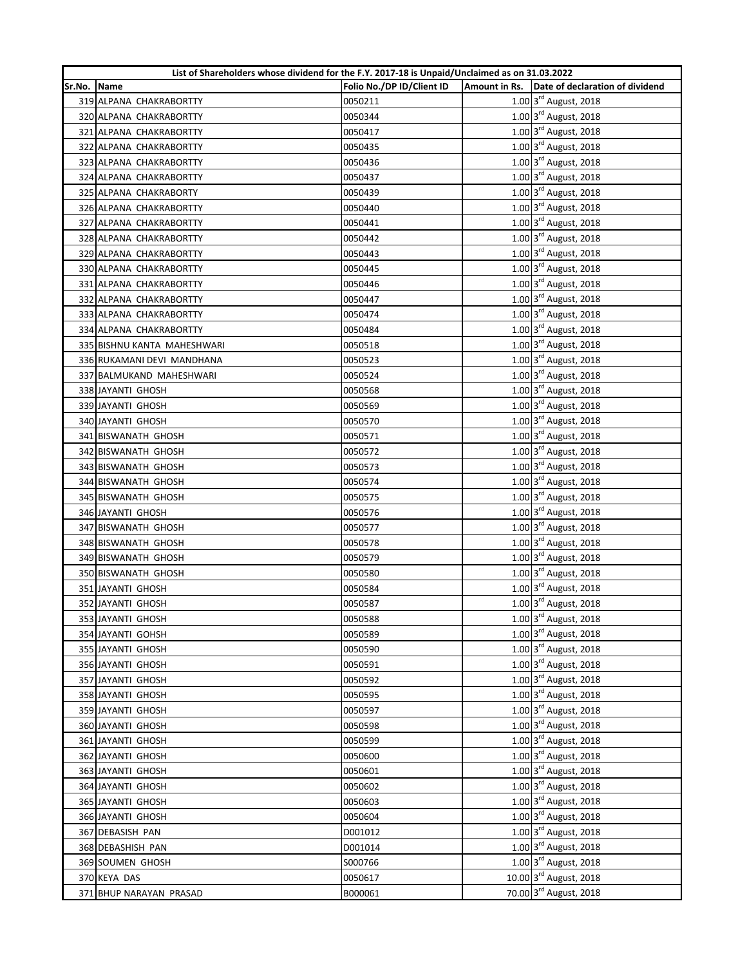|        | List of Shareholders whose dividend for the F.Y. 2017-18 is Unpaid/Unclaimed as on 31.03.2022 |                           |  |                                                |
|--------|-----------------------------------------------------------------------------------------------|---------------------------|--|------------------------------------------------|
| Sr.No. | Name                                                                                          | Folio No./DP ID/Client ID |  | Amount in Rs. Date of declaration of dividend  |
|        | 319 ALPANA CHAKRABORTTY                                                                       | 0050211                   |  | 1.00 3rd August, 2018                          |
|        | 320 ALPANA CHAKRABORTTY                                                                       | 0050344                   |  | 1.00 3rd August, 2018                          |
|        | 321 ALPANA CHAKRABORTTY                                                                       | 0050417                   |  | 1.00 3rd August, 2018                          |
|        | 322 ALPANA CHAKRABORTTY                                                                       | 0050435                   |  | $1.00 \frac{3^{rd}}{3}$ August, 2018           |
|        | 323 ALPANA CHAKRABORTTY                                                                       | 0050436                   |  | 1.00 3rd August, 2018                          |
|        | 324 ALPANA CHAKRABORTTY                                                                       | 0050437                   |  | 1.00 3rd August, 2018                          |
|        | 325 ALPANA CHAKRABORTY                                                                        | 0050439                   |  | 1.00 3rd August, 2018                          |
|        | 326 ALPANA CHAKRABORTTY                                                                       | 0050440                   |  | 1.00 3rd August, 2018                          |
|        | 327 ALPANA CHAKRABORTTY                                                                       | 0050441                   |  | 1.00 3rd August, 2018                          |
|        | 328 ALPANA CHAKRABORTTY                                                                       | 0050442                   |  | 1.00 3rd August, 2018                          |
|        | 329 ALPANA CHAKRABORTTY                                                                       | 0050443                   |  | 1.00 3rd August, 2018                          |
|        | 330 ALPANA CHAKRABORTTY                                                                       | 0050445                   |  | 1.00 3rd August, 2018                          |
|        | 331 ALPANA CHAKRABORTTY                                                                       | 0050446                   |  | 1.00 3rd August, 2018                          |
|        | 332 ALPANA CHAKRABORTTY                                                                       | 0050447                   |  | 1.00 3rd August, 2018                          |
|        | 333 ALPANA CHAKRABORTTY                                                                       | 0050474                   |  | 1.00 3rd August, 2018                          |
|        | 334 ALPANA CHAKRABORTTY                                                                       | 0050484                   |  | $1.00$ $3^{\text{rd}}$ August, 2018            |
|        | 335 BISHNU KANTA MAHESHWARI                                                                   | 0050518                   |  | 1.00 3rd August, 2018                          |
|        | 336 RUKAMANI DEVI MANDHANA                                                                    | 0050523                   |  | 1.00 3rd August, 2018                          |
|        | 337 BALMUKAND MAHESHWARI                                                                      | 0050524                   |  | 1.00 3rd August, 2018                          |
|        | 338 JAYANTI GHOSH                                                                             | 0050568                   |  | 1.00 3rd August, 2018                          |
|        | 339 JAYANTI GHOSH                                                                             | 0050569                   |  | 1.00 3rd August, 2018                          |
|        | 340 JAYANTI GHOSH                                                                             | 0050570                   |  | 1.00 3rd August, 2018                          |
|        | 341 BISWANATH GHOSH                                                                           | 0050571                   |  | 1.00 3rd August, 2018                          |
|        | 342 BISWANATH GHOSH                                                                           | 0050572                   |  | 1.00 3rd August, 2018                          |
|        | 343 BISWANATH GHOSH                                                                           | 0050573                   |  | 1.00 3rd August, 2018                          |
|        | 344 BISWANATH GHOSH                                                                           | 0050574                   |  | 1.00 3rd August, 2018                          |
|        | 345 BISWANATH GHOSH                                                                           | 0050575                   |  | 1.00 3rd August, 2018                          |
|        | 346 JAYANTI GHOSH                                                                             | 0050576                   |  | 1.00 3rd August, 2018                          |
|        | 347 BISWANATH GHOSH                                                                           | 0050577                   |  | 1.00 3rd August, 2018                          |
|        | 348 BISWANATH GHOSH                                                                           | 0050578                   |  | $1.00 \text{ s}^{\text{rd}}$ August, 2018      |
|        | 349 BISWANATH GHOSH                                                                           | 0050579                   |  | 1.00 3rd August, 2018                          |
|        | 350 BISWANATH GHOSH                                                                           | 0050580                   |  | 1.00 3rd August, 2018                          |
|        | 351 JAYANTI GHOSH                                                                             | 0050584                   |  | 1.00 3rd August, 2018                          |
|        | 352 JAYANTI GHOSH                                                                             | 0050587                   |  | 1.00 3rd August, 2018                          |
|        | 353 JAYANTI GHOSH                                                                             | 0050588                   |  | 1.00 3rd August, 2018                          |
|        | 354 JAYANTI GOHSH                                                                             | 0050589                   |  | 1.00 3rd August, 2018                          |
|        | 355 JAYANTI GHOSH                                                                             | 0050590                   |  | 1.00 3rd August, 2018                          |
|        | 356 JAYANTI GHOSH                                                                             | 0050591                   |  | 1.00 3rd August, 2018                          |
|        | 357 JAYANTI GHOSH                                                                             | 0050592                   |  | 1.00 3rd August, 2018                          |
|        | 358 JAYANTI GHOSH                                                                             | 0050595                   |  | 1.00 3rd August, 2018                          |
|        | 359 JAYANTI GHOSH                                                                             | 0050597                   |  | 1.00 3rd August, 2018                          |
|        | 360 JAYANTI GHOSH                                                                             | 0050598                   |  | 1.00 3rd August, 2018                          |
|        | 361 JAYANTI GHOSH                                                                             | 0050599                   |  | 1.00 3rd August, 2018                          |
|        | 362 JAYANTI GHOSH                                                                             | 0050600                   |  | 1.00 3rd August, 2018                          |
|        | 363 JAYANTI GHOSH                                                                             | 0050601                   |  | 1.00 3rd August, 2018                          |
|        | 364 JAYANTI GHOSH                                                                             | 0050602                   |  | 1.00 3rd August, 2018                          |
|        | 365 JAYANTI GHOSH                                                                             | 0050603                   |  | 1.00 3rd August, 2018                          |
|        | 366 JAYANTI GHOSH                                                                             | 0050604                   |  | 1.00 3rd August, 2018                          |
|        | 367 DEBASISH PAN                                                                              | D001012                   |  | $\overline{1.00}$ 3 <sup>rd</sup> August, 2018 |
|        | 368 DEBASHISH PAN                                                                             | D001014                   |  | 1.00 3rd August, 2018                          |
|        | 369 SOUMEN GHOSH                                                                              | S000766                   |  | 1.00 3rd August, 2018                          |
|        |                                                                                               |                           |  | 10.00 3rd August, 2018                         |
|        | 370 KEYA DAS                                                                                  | 0050617                   |  | 70.00 3rd August, 2018                         |
|        | 371 BHUP NARAYAN PRASAD                                                                       | B000061                   |  |                                                |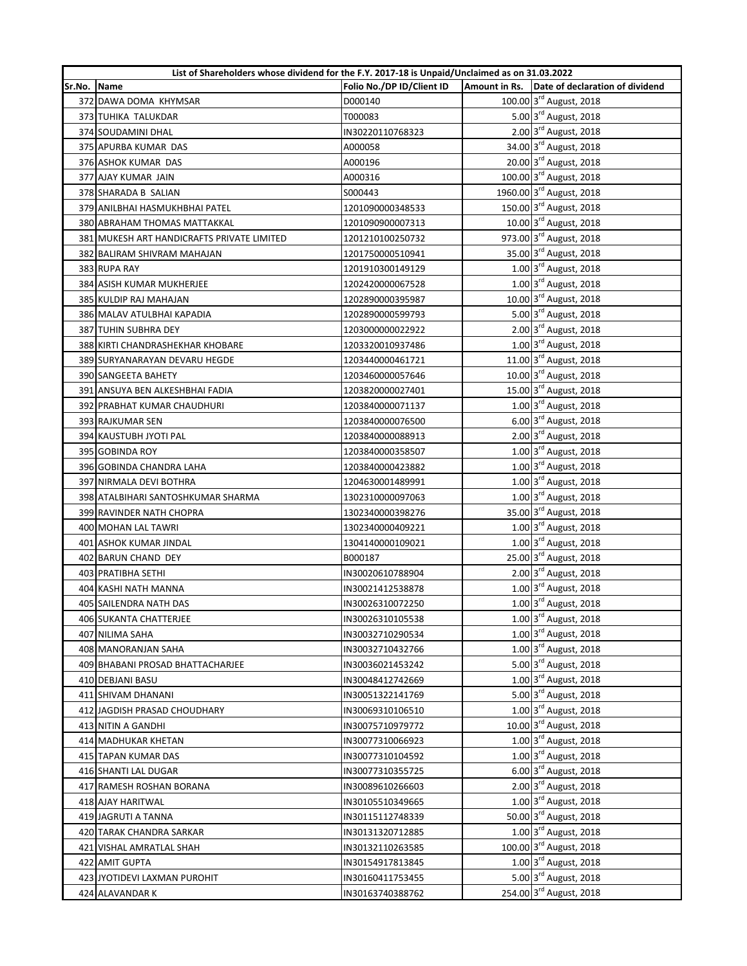|        | List of Shareholders whose dividend for the F.Y. 2017-18 is Unpaid/Unclaimed as on 31.03.2022 |                           |  |                                               |
|--------|-----------------------------------------------------------------------------------------------|---------------------------|--|-----------------------------------------------|
| Sr.No. | Name                                                                                          | Folio No./DP ID/Client ID |  | Amount in Rs. Date of declaration of dividend |
|        | 372 DAWA DOMA KHYMSAR                                                                         | D000140                   |  | 100.00 3rd August, 2018                       |
|        | 373 TUHIKA TALUKDAR                                                                           | T000083                   |  | 5.00 3rd August, 2018                         |
|        | 374 SOUDAMINI DHAL                                                                            | IN30220110768323          |  | 2.00 3rd August, 2018                         |
|        | 375 APURBA KUMAR DAS                                                                          | A000058                   |  | 34.00 3rd August, 2018                        |
|        | 376 ASHOK KUMAR DAS                                                                           | A000196                   |  | 20.00 3rd August, 2018                        |
|        | 377 AJAY KUMAR JAIN                                                                           | A000316                   |  | 100.00 3rd August, 2018                       |
|        | 378 SHARADA B SALIAN                                                                          | S000443                   |  | 1960.00 3rd August, 2018                      |
|        | 379 ANILBHAI HASMUKHBHAI PATEL                                                                | 1201090000348533          |  | 150.00 3rd August, 2018                       |
|        | 380 ABRAHAM THOMAS MATTAKKAL                                                                  | 1201090900007313          |  | 10.00 3rd August, 2018                        |
|        | 381 MUKESH ART HANDICRAFTS PRIVATE LIMITED                                                    | 1201210100250732          |  | 973.00 3rd August, 2018                       |
|        | 382 BALIRAM SHIVRAM MAHAJAN                                                                   | 1201750000510941          |  | 35.00 3rd August, 2018                        |
|        | 383 RUPA RAY                                                                                  | 1201910300149129          |  | 1.00 3rd August, 2018                         |
|        | 384 ASISH KUMAR MUKHERJEE                                                                     | 1202420000067528          |  | 1.00 3rd August, 2018                         |
|        | 385 KULDIP RAJ MAHAJAN                                                                        | 1202890000395987          |  | 10.00 3rd August, 2018                        |
|        | 386 MALAV ATULBHAI KAPADIA                                                                    | 1202890000599793          |  | 5.00 3rd August, 2018                         |
|        | 387 TUHIN SUBHRA DEY                                                                          | 1203000000022922          |  | 2.00 3rd August, 2018                         |
|        | 388 KIRTI CHANDRASHEKHAR KHOBARE                                                              | 1203320010937486          |  | 1.00 3rd August, 2018                         |
|        | 389 SURYANARAYAN DEVARU HEGDE                                                                 | 1203440000461721          |  | 11.00 3rd August, 2018                        |
|        | 390 SANGEETA BAHETY                                                                           | 1203460000057646          |  | 10.00 3rd August, 2018                        |
|        | 391 ANSUYA BEN ALKESHBHAI FADIA                                                               | 1203820000027401          |  | 15.00 3rd August, 2018                        |
|        | 392 PRABHAT KUMAR CHAUDHURI                                                                   | 1203840000071137          |  | 1.00 3rd August, 2018                         |
|        | 393 RAJKUMAR SEN                                                                              | 1203840000076500          |  | 6.00 3rd August, 2018                         |
|        | 394 KAUSTUBH JYOTI PAL                                                                        | 1203840000088913          |  | 2.00 3rd August, 2018                         |
|        | 395 GOBINDA ROY                                                                               | 1203840000358507          |  | 1.00 3rd August, 2018                         |
|        | 396 GOBINDA CHANDRA LAHA                                                                      | 1203840000423882          |  | 1.00 3rd August, 2018                         |
|        | 397 NIRMALA DEVI BOTHRA                                                                       | 1204630001489991          |  | 1.00 3rd August, 2018                         |
|        | 398 ATALBIHARI SANTOSHKUMAR SHARMA                                                            | 1302310000097063          |  | 1.00 3rd August, 2018                         |
|        | 399 RAVINDER NATH CHOPRA                                                                      | 1302340000398276          |  | 35.00 3rd August, 2018                        |
|        | 400 MOHAN LAL TAWRI                                                                           | 1302340000409221          |  | 1.00 3rd August, 2018                         |
|        | 401 ASHOK KUMAR JINDAL                                                                        | 1304140000109021          |  | 1.00 3rd August, 2018                         |
|        | 402 BARUN CHAND DEY                                                                           | B000187                   |  | 25.00 3rd August, 2018                        |
|        | 403 PRATIBHA SETHI                                                                            | IN30020610788904          |  | 2.00 3rd August, 2018                         |
|        | 404 KASHI NATH MANNA                                                                          | IN30021412538878          |  | 1.00 3rd August, 2018                         |
|        | 405 SAILENDRA NATH DAS                                                                        | IN30026310072250          |  | 1.00 3rd August, 2018                         |
|        | 406 SUKANTA CHATTERJEE                                                                        | IN30026310105538          |  | 1.00 3rd August, 2018                         |
|        | 407 NILIMA SAHA                                                                               | IN30032710290534          |  | 1.00 3rd August, 2018                         |
|        | 408 MANORANJAN SAHA                                                                           | IN30032710432766          |  | 1.00 3rd August, 2018                         |
|        | 409 BHABANI PROSAD BHATTACHARJEE                                                              | IN30036021453242          |  | 5.00 3rd August, 2018                         |
|        | 410 DEBJANI BASU                                                                              | IN30048412742669          |  | 1.00 3rd August, 2018                         |
|        | 411 SHIVAM DHANANI                                                                            | IN30051322141769          |  | 5.00 3rd August, 2018                         |
|        | 412 JAGDISH PRASAD CHOUDHARY                                                                  | IN30069310106510          |  | 1.00 3rd August, 2018                         |
|        | 413 NITIN A GANDHI                                                                            | IN30075710979772          |  | 10.00 3rd August, 2018                        |
|        | 414 MADHUKAR KHETAN                                                                           | IN30077310066923          |  | 1.00 3rd August, 2018                         |
|        | 415 TAPAN KUMAR DAS                                                                           | IN30077310104592          |  | 1.00 3rd August, 2018                         |
|        | 416 SHANTI LAL DUGAR                                                                          | IN30077310355725          |  | 6.00 3rd August, 2018                         |
|        | 417 RAMESH ROSHAN BORANA                                                                      | IN30089610266603          |  | 2.00 3rd August, 2018                         |
|        | 418 AJAY HARITWAL                                                                             | IN30105510349665          |  | 1.00 3rd August, 2018                         |
|        | 419 JAGRUTI A TANNA                                                                           | IN30115112748339          |  | 50.00 3rd August, 2018                        |
|        | 420 TARAK CHANDRA SARKAR                                                                      | IN30131320712885          |  | 1.00 3rd August, 2018                         |
|        | 421 VISHAL AMRATLAL SHAH                                                                      | IN30132110263585          |  | 100.00 3rd August, 2018                       |
|        | 422 AMIT GUPTA                                                                                | IN30154917813845          |  | 1.00 3rd August, 2018                         |
|        | 423 JYOTIDEVI LAXMAN PUROHIT                                                                  | IN30160411753455          |  | 5.00 3rd August, 2018                         |
|        | 424 ALAVANDAR K                                                                               | IN30163740388762          |  | 254.00 3rd August, 2018                       |